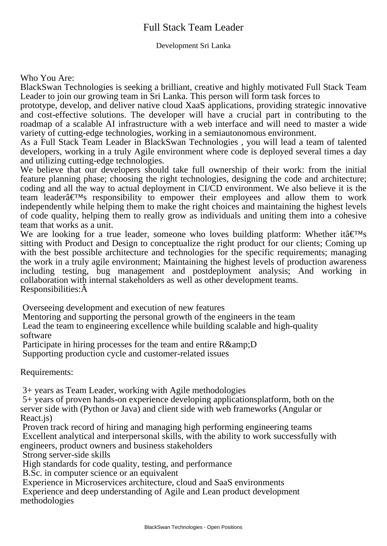## Full Stack Team Leader

## Development Sri Lanka

Who You Are:

BlackSwan Technologies is seeking a brilliant, creative and highly motivated Full Stack Team Leader to join our growing team in Sri Lanka. This person will form task forces to

prototype, develop, and deliver native cloud XaaS applications, providing strategic innovative and cost-effective solutions. The developer will have a crucial part in contributing to the roadmap of a scalable AI infrastructure with a web interface and will need to master a wide variety of cutting-edge technologies, working in a semiautonomous environment.

As a Full Stack Team Leader in BlackSwan Technologies , you will lead a team of talented developers, working in a truly Agile environment where code is deployed several times a day and utilizing cutting-edge technologies.

We believe that our developers should take full ownership of their work: from the initial feature planning phase; choosing the right technologies, designing the code and architecture; coding and all the way to actual deployment in CI/CD environment. We also believe it is the team leader $\hat{\mathbf{a}} \in \mathbb{R}^m$  responsibility to empower their employees and allow them to work independently while helping them to make the right choices and maintaining the highest levels of code quality, helping them to really grow as individuals and uniting them into a cohesive team that works as a unit.

We are looking for a true leader, someone who loves building platform: Whether it $\hat{a} \in \mathbb{T}^{M}$ s sitting with Product and Design to conceptualize the right product for our clients; Coming up with the best possible architecture and technologies for the specific requirements; managing the work in a truly agile environment; Maintaining the highest levels of production awareness including testing, bug management and postdeployment analysis; And working in collaboration with internal stakeholders as well as other development teams. Responsibilities:Â

 Overseeing development and execution of new features

 Mentoring and supporting the personal growth of the engineers in the team

 Lead the team to engineering excellence while building scalable and high-quality software

Participate in hiring processes for the team and entire  $R\&D$  Supporting production cycle and customer-related issues

Requirements:

 3+ years as Team Leader, working with Agile methodologies

 5+ years of proven hands-on experience developing applicationsplatform, both on the server side with (Python or Java) and client side with web frameworks (Angular or React.js)

 Proven track record of hiring and managing high performing engineering teams Excellent analytical and interpersonal skills, with the ability to work successfully with engineers, product owners and business stakeholders

 Strong server-side skills

 High standards for code quality, testing, and performance

 B.Sc. in computer science or an equivalent

 Experience in Microservices architecture, cloud and SaaS environments

 Experience and deep understanding of Agile and Lean product development methodologies